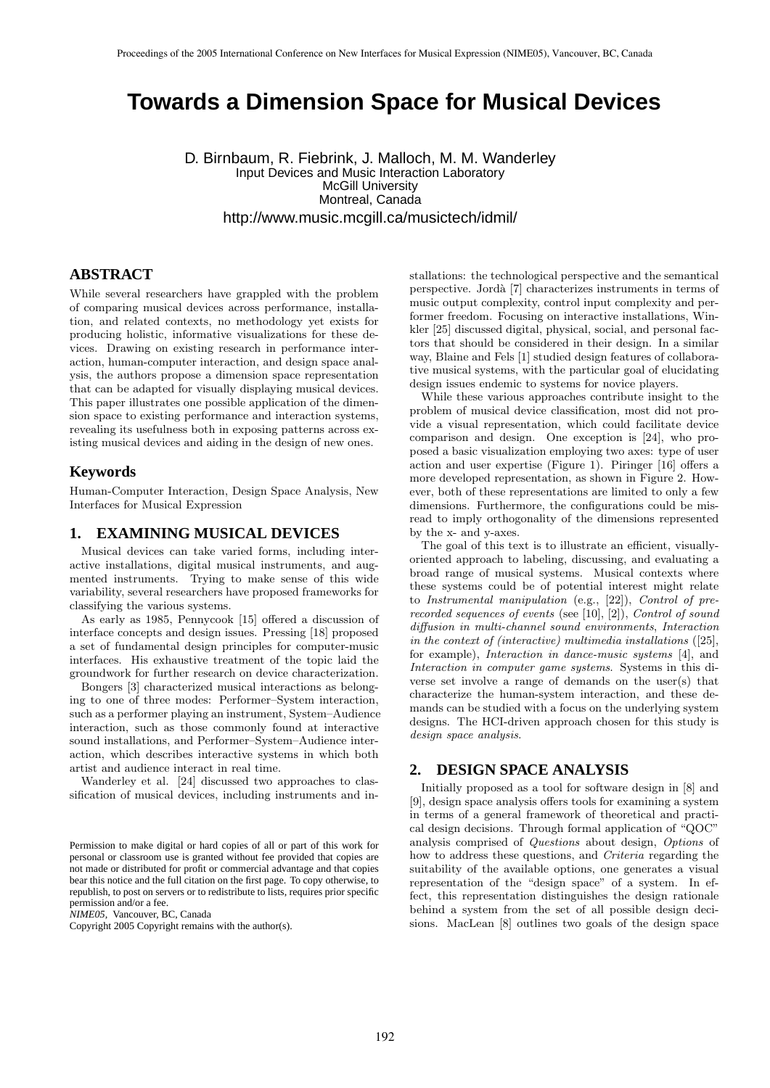# **Towards a Dimension Space for Musical Devices**

D. Birnbaum, R. Fiebrink, J. Malloch, M. M. Wanderley Input Devices and Music Interaction Laboratory McGill University Montreal, Canada http://www.music.mcgill.ca/musictech/idmil/

### **ABSTRACT**

While several researchers have grappled with the problem of comparing musical devices across performance, installation, and related contexts, no methodology yet exists for producing holistic, informative visualizations for these devices. Drawing on existing research in performance interaction, human-computer interaction, and design space analysis, the authors propose a dimension space representation that can be adapted for visually displaying musical devices. This paper illustrates one possible application of the dimension space to existing performance and interaction systems, revealing its usefulness both in exposing patterns across existing musical devices and aiding in the design of new ones.

### **Keywords**

Human-Computer Interaction, Design Space Analysis, New Interfaces for Musical Expression

### **1. EXAMINING MUSICAL DEVICES**

Musical devices can take varied forms, including interactive installations, digital musical instruments, and augmented instruments. Trying to make sense of this wide variability, several researchers have proposed frameworks for classifying the various systems.

As early as 1985, Pennycook [15] offered a discussion of interface concepts and design issues. Pressing [18] proposed a set of fundamental design principles for computer-music interfaces. His exhaustive treatment of the topic laid the groundwork for further research on device characterization.

Bongers [3] characterized musical interactions as belonging to one of three modes: Performer–System interaction, such as a performer playing an instrument, System–Audience interaction, such as those commonly found at interactive sound installations, and Performer–System–Audience interaction, which describes interactive systems in which both artist and audience interact in real time.

Wanderley et al. [24] discussed two approaches to classification of musical devices, including instruments and in-

*NIME05,* Vancouver, BC, Canada

stallations: the technological perspective and the semantical perspective. Jord`a [7] characterizes instruments in terms of music output complexity, control input complexity and performer freedom. Focusing on interactive installations, Winkler [25] discussed digital, physical, social, and personal factors that should be considered in their design. In a similar way, Blaine and Fels [1] studied design features of collaborative musical systems, with the particular goal of elucidating design issues endemic to systems for novice players.

While these various approaches contribute insight to the problem of musical device classification, most did not provide a visual representation, which could facilitate device comparison and design. One exception is [24], who proposed a basic visualization employing two axes: type of user action and user expertise (Figure 1). Piringer [16] offers a more developed representation, as shown in Figure 2. However, both of these representations are limited to only a few dimensions. Furthermore, the configurations could be misread to imply orthogonality of the dimensions represented by the x- and y-axes.

The goal of this text is to illustrate an efficient, visuallyoriented approach to labeling, discussing, and evaluating a broad range of musical systems. Musical contexts where these systems could be of potential interest might relate to Instrumental manipulation (e.g., [22]), Control of prerecorded sequences of events (see [10], [2]), Control of sound diffusion in multi-channel sound environments, Interaction in the context of (interactive) multimedia installations ([25], for example), Interaction in dance-music systems [4], and Interaction in computer game systems. Systems in this diverse set involve a range of demands on the user(s) that characterize the human-system interaction, and these demands can be studied with a focus on the underlying system designs. The HCI-driven approach chosen for this study is design space analysis.

## **2. DESIGN SPACE ANALYSIS**

Initially proposed as a tool for software design in [8] and [9], design space analysis offers tools for examining a system in terms of a general framework of theoretical and practical design decisions. Through formal application of "QOC" analysis comprised of Questions about design, Options of how to address these questions, and Criteria regarding the suitability of the available options, one generates a visual representation of the "design space" of a system. In effect, this representation distinguishes the design rationale behind a system from the set of all possible design decisions. MacLean [8] outlines two goals of the design space

Permission to make digital or hard copies of all or part of this work for personal or classroom use is granted without fee provided that copies are not made or distributed for profit or commercial advantage and that copies bear this notice and the full citation on the first page. To copy otherwise, to republish, to post on servers or to redistribute to lists, requires prior specific permission and/or a fee.

Copyright 2005 Copyright remains with the author(s).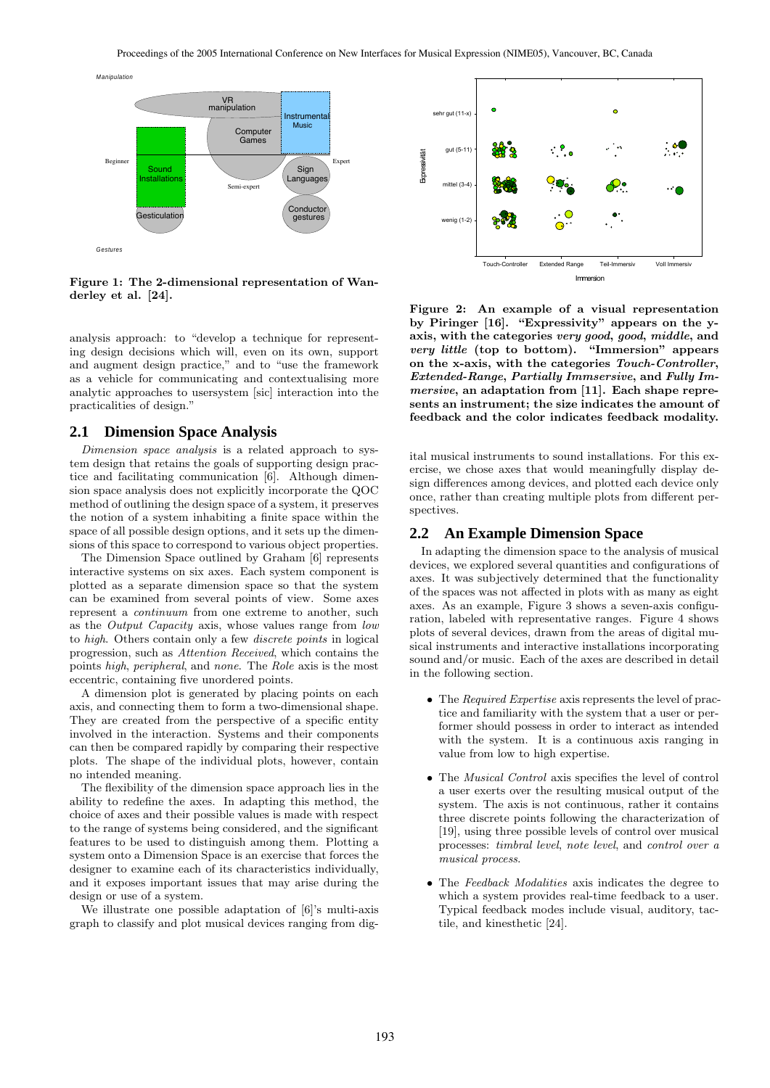Manipulation



Beginner Expert Figure 1: The 2-dimensional representation of Wanderley et al.  $[24]$ .

Figure 3: Interaction modalities according to expertise analysis approach: to "develop a technique for representing design decisions which will, even on its own, support and augment design practice," and to "use the framework as a vehicle for communicating and contextualising more **Two Types of Interaction related to** analytic approaches to usersystem [sic] interaction into the practicalities of design."

### $\mathcal{L}$ **Sound Display 2.1 Dimension Space Analysis**

achieve the goal of the interaction - the left edge  $\frac{u}{u}$ right one to expert performance to expert performance to experience the diagrams; the diagrams is  $\frac{d}{dt}$  $\frac{m}{\text{th}}$ sion) and the single state  $\mathbf{s}_0$ tem design that retains the goals of supporting design practice and facilitating communication [6]. Although dimension space analysis does not explicitly incorporate the QOC method of outlining the design space of a system, it preserves the notion of a system inhabiting a finite space within the  $\frac{1}{\sqrt{2}}$ space of an possible design options, and it sets up the dimensions of this space to correspond to various object properties. Dimension space analysis is a related approach to sysspace of all possible design options, and it sets up the dimen-

We consider here interactive sound installations as mostly consisting of video and other non-contact sensing technologies for the detection of human position or gesture. As shown in figure 4, we have the shown in figure 4, we have the shown in figure 4, we have  $\frac{1}{2}$  $\overline{\text{as}}$ ing to the manipulation of  $t$  $\overline{\text{p}}$ tions represents the opposite case of the opposite case of the opposite case of the opposite case of the opposite case of the opposite case of the opposite case of the opposite case of the opposite case of the opposite cas The Dimension Space outlined by Graham [6] represents interactive systems on six axes. Each system component is plotted as a separate dimension space so that the system can be examined from several points of view. Some axes represent a *continuum* from one extreme to another, such as the *Output Capacity* axis, whose values range from low to *hagh*. Others contain only a lew *uiscrete points* in logical progression, such as *Attention Received*, which contains the points high, peripheral, and none. The Role axis is the most eccentric, containing five unordered points. to high. Others contain only a few discrete points in logical

acoustic instrument playing technique, where the instrumentalist usually spends years of practice in the spends years of practice in the spends years of practice in the spends years of practice in the spends years of practice in the spends years of practice in the spends  $\sum_{i=1}^{\infty}$ Following the same logic, other types of interaction can also be plotted in this diagram, such as  $\ln a$ axis, and connecting them to form a two-dimensional shape.<br>They are created from the perspective of a specific entity mvoived in the interaction. Systems and their components<br>can then be compared rapidly by comparing their respective edit then be computed tapidly by computing their respective plots. The shape of the individual plots, however, contain  $\Gamma$  no intended meaning. A dimension plot is generated by placing points on each axis, and connecting them to form a two-dimensional shape. involved in the interaction. Systems and their components

systems for the recognitions of gesticulation (natural gestures), conductor's gestures and sign lanto the shown in the shown in the shown in figure 4, where  $t$  is a shown in  $t$  or  $t$  is a shown in  $t$  or  $t$  or  $t$  or  $t$  or  $t$  or  $t$  or  $t$  or  $t$  or  $t$  or  $t$  or  $t$  or  $t$  or  $t$  or  $t$  or  $t$  or  $t$  or  $t$  or  $t$ other interaction models have been interaction models. also the such as in the con- $\frac{1}{\pi}$  corresponds to an analysis of the set of in-The flexibility of the dimension space approach lies in the ability to redefine the axes. In adapting this method, the choice of axes and their possible values is made with respect to the range of systems being considered, and the significant features to be used to distinguish among them. Plotting a<br>gyptam onto a Dimongian Space is an augustic that forces the designer to examine each of its characteristics individually, and it exposes important issues that may arise during the or use of a system. system onto a Dimension Space is an exercise that forces the design or use of a system.

teraction from the point of view of the input device de-We illustrate one possible adaptation of [6]'s multi-axis graph to classify and plot musical devices ranging from dig-



by Piringer [16]. "Expressivity" appears on the y**nach den Eigenschaften Immersion und Expressivität in X- und Y-Richtung, sowie den** axis, with the categories very good, good, middle, and **FEEDBACK FEED ACCESS 200**, **See SECULTARY**, and **EVERTHENCE and a** *mersive*, an adaptation from [11]. Each shape repre**kreis** an instrument; the size indicates the amount of feedback and the color indicates feedback modality. Figure 2: An example of a visual representation on the x-axis, with the categories Touch-Controller, Extended-Range, Partially Immsersive, and Fully Im-

ital musical instruments to sound installations. For this exercise, we chose axes that would meaningfully display design differences among devices, and plotted each device only once, rather than creating multiple plots from different perspectives.

### **2.2 An Example Dimension Space**

axes. It was subjectively determined that the functionality In adapting the dimension space to the analysis of musical devices, we explored several quantities and configurations of of the spaces was not affected in plots with as many as eight axes. As an example, Figure 3 shows a seven-axis configuration, labeled with representative ranges. Figure 4 shows plots of several devices, drawn from the areas of digital musical instruments and interactive installations incorporating sound and/or music. Each of the axes are described in detail in the following section.

- The Required Expertise axis represents the level of practice and familiarity with the system that a user or performer should possess in order to interact as intended with the system. It is a continuous axis ranging in value from low to high expertise.
- The *Musical Control* axis specifies the level of control a user exerts over the resulting musical output of the system. The axis is not continuous, rather it contains three discrete points following the characterization of [19], using three possible levels of control over musical processes: timbral level, note level, and control over a musical process.
- The Feedback Modalities axis indicates the degree to which a system provides real-time feedback to a user. Typical feedback modes include visual, auditory, tactile, and kinesthetic [24].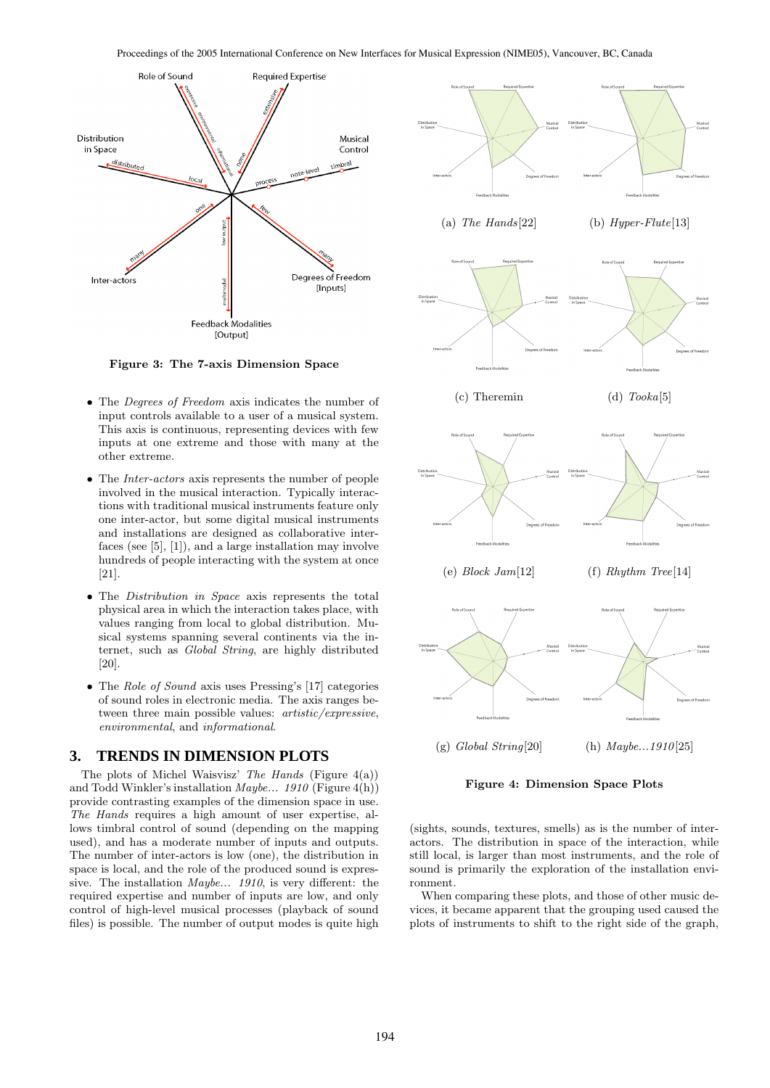

Figure 3: The 7-axis Dimension Space

- The Degrees of Freedom axis indicates the number of input controls available to a user of a musical system. This axis is continuous, representing devices with few inputs at one extreme and those with many at the other extreme.
- The *Inter-actors* axis represents the number of people involved in the musical interaction. Typically interactions with traditional musical instruments feature only one inter-actor, but some digital musical instruments and installations are designed as collaborative interfaces (see [5], [1]), and a large installation may involve hundreds of people interacting with the system at once [21].
- The *Distribution in Space* axis represents the total physical area in which the interaction takes place, with values ranging from local to global distribution. Musical systems spanning several continents via the internet, such as Global String, are highly distributed [20].
- The Role of Sound axis uses Pressing's [17] categories of sound roles in electronic media. The axis ranges between three main possible values: artistic/expressive, environmental, and informational.

### **3. TRENDS IN DIMENSION PLOTS**

The plots of Michel Waisvisz' The Hands (Figure  $4(a)$ ) and Todd Winkler's installation *Maybe...* 1910 (Figure 4(h)) provide contrasting examples of the dimension space in use. The Hands requires a high amount of user expertise, allows timbral control of sound (depending on the mapping used), and has a moderate number of inputs and outputs. The number of inter-actors is low (one), the distribution in space is local, and the role of the produced sound is expressive. The installation Maybe... 1910, is very different: the required expertise and number of inputs are low, and only control of high-level musical processes (playback of sound files) is possible. The number of output modes is quite high



Figure 4: Dimension Space Plots

(sights, sounds, textures, smells) as is the number of interactors. The distribution in space of the interaction, while still local, is larger than most instruments, and the role of sound is primarily the exploration of the installation environment.

When comparing these plots, and those of other music devices, it became apparent that the grouping used caused the plots of instruments to shift to the right side of the graph,